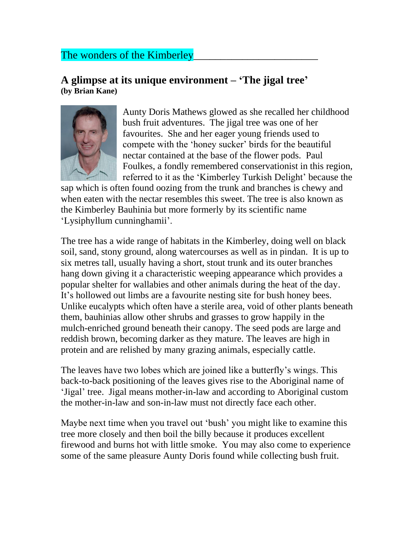## The wonders of the Kimberley

## **A glimpse at its unique environment – 'The jigal tree' (by Brian Kane)**



Aunty Doris Mathews glowed as she recalled her childhood bush fruit adventures. The jigal tree was one of her favourites. She and her eager young friends used to compete with the 'honey sucker' birds for the beautiful nectar contained at the base of the flower pods. Paul Foulkes, a fondly remembered conservationist in this region, referred to it as the 'Kimberley Turkish Delight' because the

sap which is often found oozing from the trunk and branches is chewy and when eaten with the nectar resembles this sweet. The tree is also known as the Kimberley Bauhinia but more formerly by its scientific name 'Lysiphyllum cunninghamii'.

The tree has a wide range of habitats in the Kimberley, doing well on black soil, sand, stony ground, along watercourses as well as in pindan. It is up to six metres tall, usually having a short, stout trunk and its outer branches hang down giving it a characteristic weeping appearance which provides a popular shelter for wallabies and other animals during the heat of the day. It's hollowed out limbs are a favourite nesting site for bush honey bees. Unlike eucalypts which often have a sterile area, void of other plants beneath them, bauhinias allow other shrubs and grasses to grow happily in the mulch-enriched ground beneath their canopy. The seed pods are large and reddish brown, becoming darker as they mature. The leaves are high in protein and are relished by many grazing animals, especially cattle.

The leaves have two lobes which are joined like a butterfly's wings. This back-to-back positioning of the leaves gives rise to the Aboriginal name of 'Jigal' tree. Jigal means mother-in-law and according to Aboriginal custom the mother-in-law and son-in-law must not directly face each other.

Maybe next time when you travel out 'bush' you might like to examine this tree more closely and then boil the billy because it produces excellent firewood and burns hot with little smoke. You may also come to experience some of the same pleasure Aunty Doris found while collecting bush fruit.